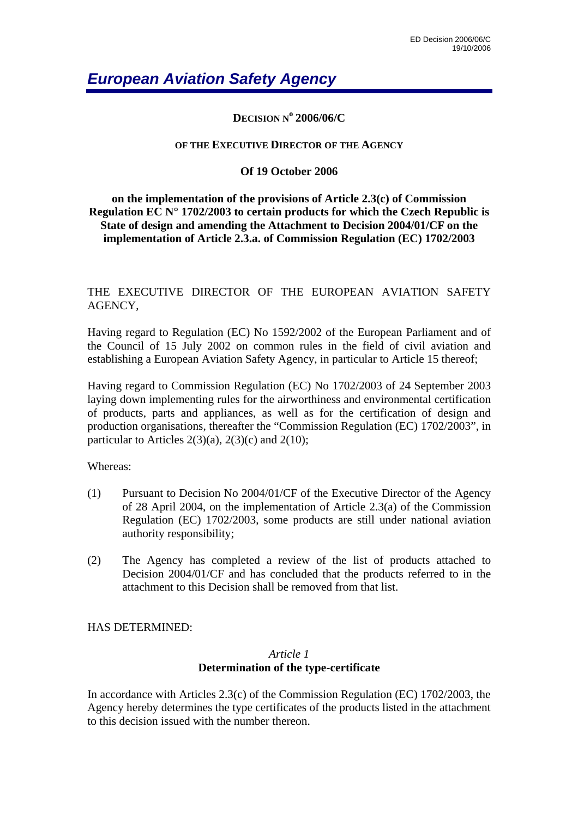# *European Aviation Safety Agency*

**DECISION N<sup>o</sup> 2006/06/C**

#### **OF THE EXECUTIVE DIRECTOR OF THE AGENCY**

#### **Of 19 October 2006**

#### **on the implementation of the provisions of Article 2.3(c) of Commission Regulation EC N° 1702/2003 to certain products for which the Czech Republic is State of design and amending the Attachment to Decision 2004/01/CF on the implementation of Article 2.3.a. of Commission Regulation (EC) 1702/2003**

THE EXECUTIVE DIRECTOR OF THE EUROPEAN AVIATION SAFETY AGENCY,

Having regard to Regulation (EC) No 1592/2002 of the European Parliament and of the Council of 15 July 2002 on common rules in the field of civil aviation and establishing a European Aviation Safety Agency, in particular to Article 15 thereof;

Having regard to Commission Regulation (EC) No 1702/2003 of 24 September 2003 laying down implementing rules for the airworthiness and environmental certification of products, parts and appliances, as well as for the certification of design and production organisations, thereafter the "Commission Regulation (EC) 1702/2003", in particular to Articles  $2(3)(a)$ ,  $2(3)(c)$  and  $2(10)$ ;

Whereas:

- (1) Pursuant to Decision No 2004/01/CF of the Executive Director of the Agency of 28 April 2004, on the implementation of Article 2.3(a) of the Commission Regulation (EC) 1702/2003, some products are still under national aviation authority responsibility;
- (2) The Agency has completed a review of the list of products attached to Decision 2004/01/CF and has concluded that the products referred to in the attachment to this Decision shall be removed from that list.

#### HAS DETERMINED:

#### *Article 1*  **Determination of the type-certificate**

In accordance with Articles 2.3(c) of the Commission Regulation (EC) 1702/2003, the Agency hereby determines the type certificates of the products listed in the attachment to this decision issued with the number thereon.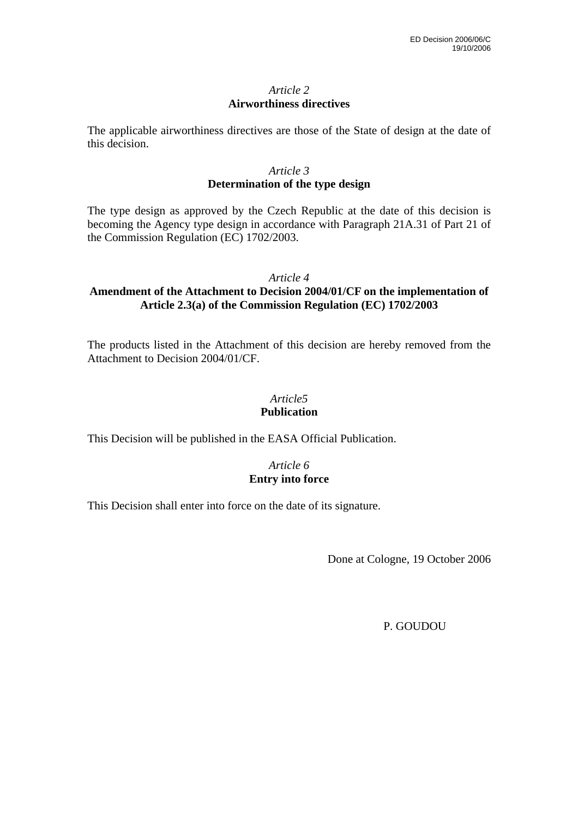#### *Article 2*  **Airworthiness directives**

The applicable airworthiness directives are those of the State of design at the date of this decision.

#### *Article 3*  **Determination of the type design**

The type design as approved by the Czech Republic at the date of this decision is becoming the Agency type design in accordance with Paragraph 21A.31 of Part 21 of the Commission Regulation (EC) 1702/2003.

#### *Article 4*

#### **Amendment of the Attachment to Decision 2004/01/CF on the implementation of Article 2.3(a) of the Commission Regulation (EC) 1702/2003**

The products listed in the Attachment of this decision are hereby removed from the Attachment to Decision 2004/01/CF.

#### *Article5*  **Publication**

This Decision will be published in the EASA Official Publication.

#### *Article 6*  **Entry into force**

This Decision shall enter into force on the date of its signature.

Done at Cologne, 19 October 2006

P. GOUDOU